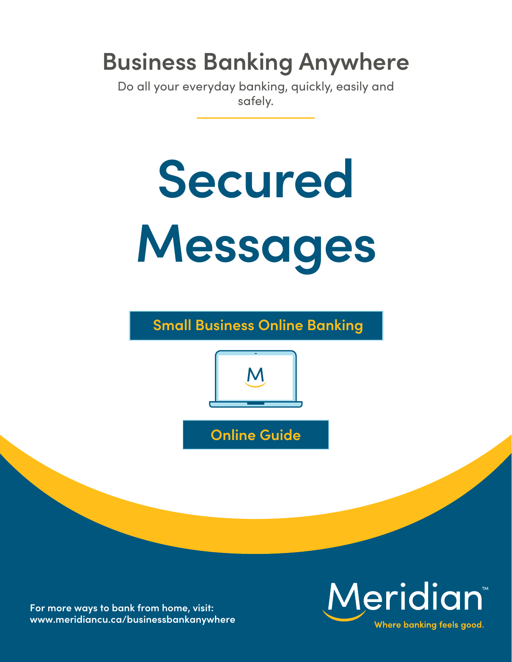# **Business Banking Anywhere**

Do all your everyday banking, quickly, easily and safely.



**Small Business Online Banking**



**Online Guide**

**For more ways to bank from home, visit: [www.meridiancu.ca/businessbankanywhere](http://www.meridiancu.ca/businessbankanywhere)**

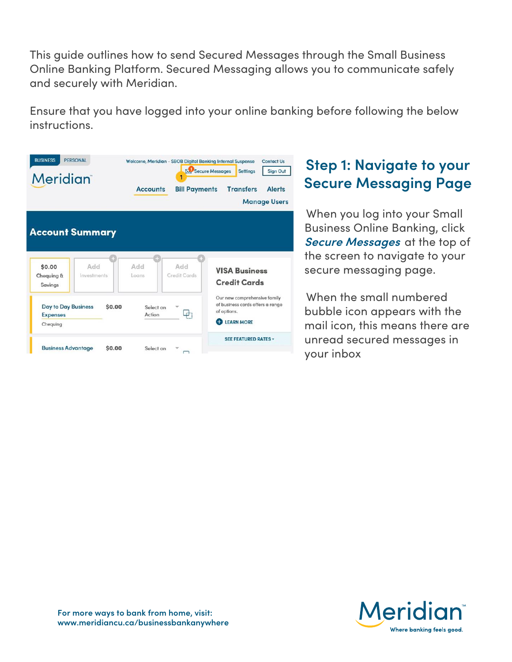This guide outlines how to send Secured Messages through the Small Business Online Banking Platform. Secured Messaging allows you to communicate safely and securely with Meridian.

Ensure that you have logged into your online banking before following the below instructions.

| <b>BUSINESS</b><br><b>PERSONAL</b><br><b>Meridian</b>     |                                              | <b>Accounts</b>                      | Welcome, Meridian - SBOB Digital Banking Internal Suspense<br><b>Bill Payments</b> | Contact Us<br>Secure Messages<br><b>Settings</b><br><b>Sign Out</b><br><b>Transfers</b><br><b>Alerts</b><br><b>Manage Users</b> |  |
|-----------------------------------------------------------|----------------------------------------------|--------------------------------------|------------------------------------------------------------------------------------|---------------------------------------------------------------------------------------------------------------------------------|--|
| \$0.00<br>Chequing &<br>Savings                           | <b>Account Summary</b><br>Add<br>Investments | Add<br>Logns                         | Add<br>Credit Cards                                                                | <b>VISA Business</b><br><b>Credit Cards</b>                                                                                     |  |
| <b>Day to Day Business</b><br><b>Expenses</b><br>Chequing |                                              | \$0.00<br>Select an<br><b>Action</b> | ⊉'                                                                                 | Our new comprehensive family<br>of business cards offers a range<br>of options.<br><b>LEARN MORE</b>                            |  |
| <b>Business Advantage</b>                                 |                                              | \$0.00<br>Select an                  |                                                                                    | <b>SEE FEATURED RATES v</b>                                                                                                     |  |

### **Step 1: Navigate to your Secure Messaging Page**

When you log into your Small Business Online Banking, click **Secure Messages** at the top of the screen to navigate to your secure messaging page.

When the small numbered bubble icon appears with the mail icon, this means there are unread secured messages in your inbox

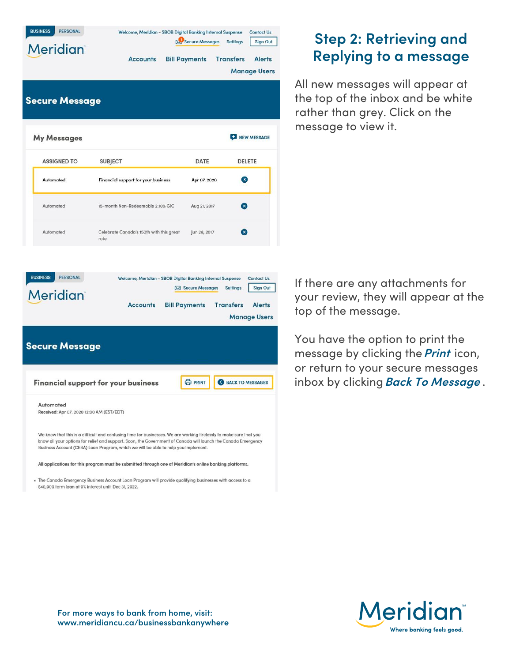| Meridian<br><b>Secure Message</b>                     | <b>Accounts</b>                                                               | <b>Bill Payments</b>                    | <b>Transfers</b><br><b>Alerts</b><br><b>Manage Users</b>                                                            |
|-------------------------------------------------------|-------------------------------------------------------------------------------|-----------------------------------------|---------------------------------------------------------------------------------------------------------------------|
| <b>My Messages</b>                                    |                                                                               |                                         | NEW MESSAGE                                                                                                         |
| <b>ASSIGNED TO</b>                                    | <b>SUBJECT</b>                                                                | <b>DATE</b>                             | DELETE                                                                                                              |
| Automated                                             | <b>Financial support for your business</b>                                    | Apr 07, 2020                            | $\mathbf{x}$                                                                                                        |
| Automated                                             | 15-month Non-Redeemable 2.10% GIC                                             | Aug 21, 2017                            | $\mathbf x$                                                                                                         |
| Automated                                             | Celebrate Canada's 150th with this great<br>rate                              | Jun 28, 2017                            | $\mathbf x$                                                                                                         |
| <b>PERSONAL</b><br><b>BUSINESS</b><br><b>Meridian</b> | Welcome, Meridian - SBOB Digital Banking Internal Suspense<br><b>Accounts</b> | Secure Messages<br><b>Bill Payments</b> | <b>Contact Us</b><br><b>Sign Out</b><br><b>Settings</b><br><b>Transfers</b><br><b>Alerts</b><br><b>Manage Users</b> |
| <b>Secure Message</b>                                 |                                                                               |                                         |                                                                                                                     |
|                                                       | Financial support for your business                                           | <b>O</b> PRINT                          | BACK TO MESSAGES                                                                                                    |
| Automated                                             | Received: Apr 07, 2020 12:00 AM (EST/EDT)                                     |                                         |                                                                                                                     |

All applications for this program must be submitted through one of Meridian's online banking platforms.

. The Canada Emergency Business Account Loan Program will provide qualifying businesses with access to a \$40,000 term loan at 0% interest until Dec 31, 2022.

## **Step 2: Retrieving and Replying to a message**

All new messages will appear at the top of the inbox and be white rather than grey. Click on the message to view it.

If there are any attachments for your review, they will appear at the top of the message.

You have the option to print the message by clicking the**Print** icon, or return to your secure messages inbox by clicking **Back To Message** .

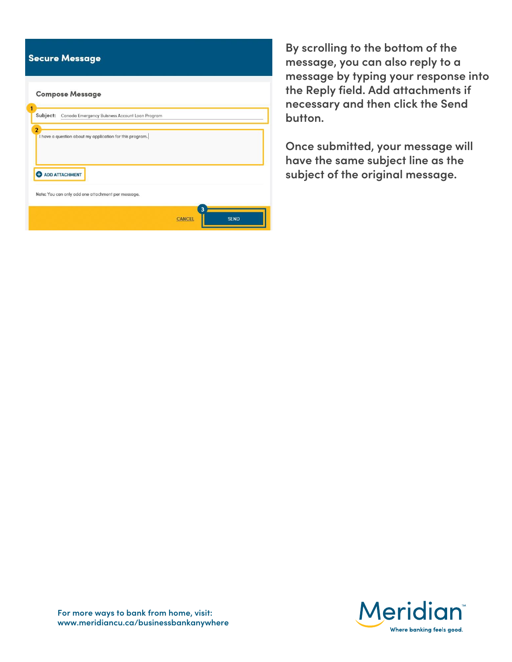|                | <b>Secure Message</b>   |                                                          |               |             |  |
|----------------|-------------------------|----------------------------------------------------------|---------------|-------------|--|
|                | <b>Compose Message</b>  |                                                          |               |             |  |
| 1<br>Subject:  |                         | Canada Emergency Buisness Account Loan Program           |               |             |  |
| $\overline{2}$ |                         | I have a question about my application for this program. |               |             |  |
|                | <b>O</b> ADD ATTACHMENT |                                                          |               |             |  |
|                |                         | Note: You can only add one attachment per message.       | 3             |             |  |
|                |                         |                                                          | <b>CANCEL</b> | <b>SEND</b> |  |

**By scrolling to the bottom of the message, you can also reply to a message by typing your response into the Reply field. Add attachments if necessary and then click the Send button.** 

**Once submitted, your message will have the same subject line as the subject of the original message.**